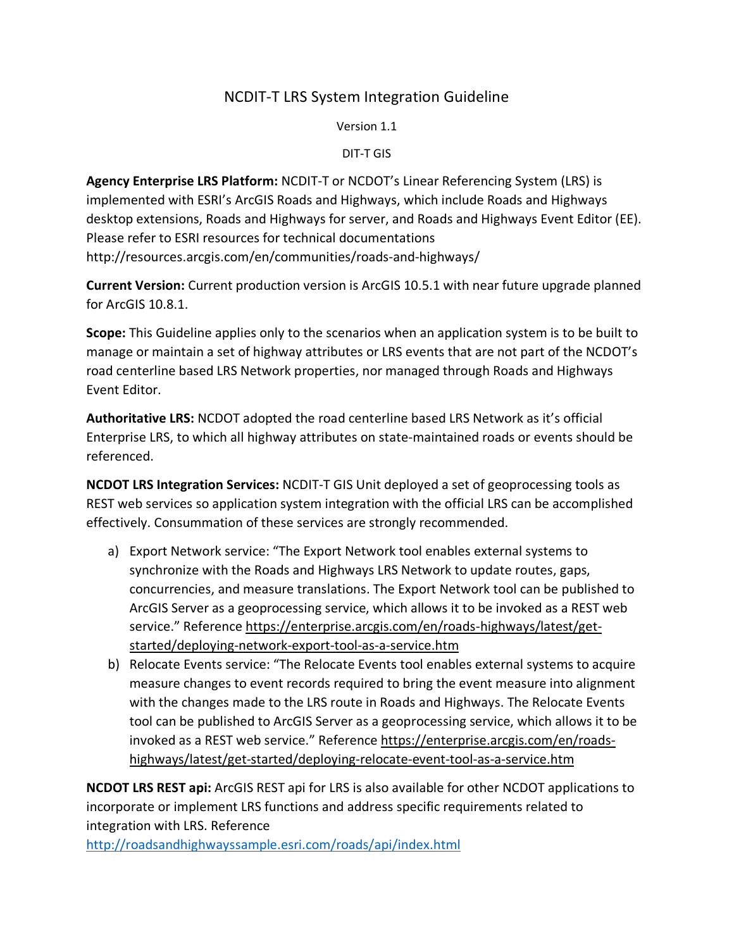## NCDIT-T LRS System Integration Guideline

Version 1.1

DIT-T GIS

Agency Enterprise LRS Platform: NCDIT-T or NCDOT's Linear Referencing System (LRS) is implemented with ESRI's ArcGIS Roads and Highways, which include Roads and Highways desktop extensions, Roads and Highways for server, and Roads and Highways Event Editor (EE). Please refer to ESRI resources for technical documentations http://resources.arcgis.com/en/communities/roads-and-highways/

Current Version: Current production version is ArcGIS 10.5.1 with near future upgrade planned for ArcGIS 10.8.1.

Scope: This Guideline applies only to the scenarios when an application system is to be built to manage or maintain a set of highway attributes or LRS events that are not part of the NCDOT's road centerline based LRS Network properties, nor managed through Roads and Highways Event Editor.

Authoritative LRS: NCDOT adopted the road centerline based LRS Network as it's official Enterprise LRS, to which all highway attributes on state-maintained roads or events should be referenced.

NCDOT LRS Integration Services: NCDIT-T GIS Unit deployed a set of geoprocessing tools as REST web services so application system integration with the official LRS can be accomplished effectively. Consummation of these services are strongly recommended.

- a) Export Network service: "The Export Network tool enables external systems to synchronize with the Roads and Highways LRS Network to update routes, gaps, concurrencies, and measure translations. The Export Network tool can be published to ArcGIS Server as a geoprocessing service, which allows it to be invoked as a REST web service." Reference https://enterprise.arcgis.com/en/roads-highways/latest/getstarted/deploying-network-export-tool-as-a-service.htm
- b) Relocate Events service: "The Relocate Events tool enables external systems to acquire measure changes to event records required to bring the event measure into alignment with the changes made to the LRS route in Roads and Highways. The Relocate Events tool can be published to ArcGIS Server as a geoprocessing service, which allows it to be invoked as a REST web service." Reference https://enterprise.arcgis.com/en/roadshighways/latest/get-started/deploying-relocate-event-tool-as-a-service.htm

NCDOT LRS REST api: ArcGIS REST api for LRS is also available for other NCDOT applications to incorporate or implement LRS functions and address specific requirements related to integration with LRS. Reference

http://roadsandhighwayssample.esri.com/roads/api/index.html